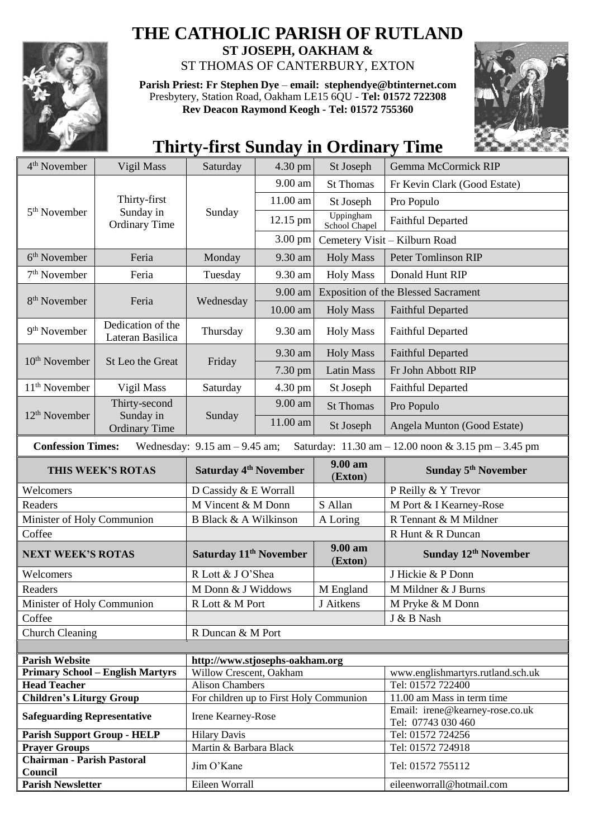

## **THE CATHOLIC PARISH OF RUTLAND**

**ST JOSEPH, OAKHAM &**  ST THOMAS OF CANTERBURY, EXTON

**Parish Priest: Fr Stephen Dye** – **[email: stephendye@btinternet.com](mailto:email:%20%20stephendye@btinternet.com)** Presbytery, Station Road, Oakham LE15 6QU - **Tel: 01572 722308 Rev Deacon Raymond Keogh - Tel: 01572 755360**



## **Thirty-first Sunday in Ordinary Time**

| 4 <sup>th</sup> November                                                 | Vigil Mass                                         | Saturday                                                      | 4.30 pm    | St Joseph                                  | Gemma McCormick RIP                                           |
|--------------------------------------------------------------------------|----------------------------------------------------|---------------------------------------------------------------|------------|--------------------------------------------|---------------------------------------------------------------|
| 5 <sup>th</sup> November                                                 | Thirty-first<br>Sunday in<br><b>Ordinary Time</b>  | Sunday                                                        | 9.00 am    | <b>St Thomas</b>                           | Fr Kevin Clark (Good Estate)                                  |
|                                                                          |                                                    |                                                               | 11.00 am   | St Joseph                                  | Pro Populo                                                    |
|                                                                          |                                                    |                                                               | 12.15 pm   | Uppingham<br>School Chapel                 | <b>Faithful Departed</b>                                      |
|                                                                          |                                                    |                                                               | 3.00 pm    |                                            | Cemetery Visit - Kilburn Road                                 |
| $6th$ November                                                           | Feria                                              | Monday                                                        | 9.30 am    | <b>Holy Mass</b>                           | Peter Tomlinson RIP                                           |
| $7th$ November                                                           | Feria                                              | Tuesday                                                       | 9.30 am    | <b>Holy Mass</b>                           | Donald Hunt RIP                                               |
| 8 <sup>th</sup> November                                                 | Feria                                              | Wednesday                                                     | 9.00 am    | <b>Exposition of the Blessed Sacrament</b> |                                                               |
|                                                                          |                                                    |                                                               | $10.00$ am | <b>Holy Mass</b>                           | <b>Faithful Departed</b>                                      |
| 9 <sup>th</sup> November                                                 | Dedication of the<br>Lateran Basilica              | Thursday                                                      | 9.30 am    | <b>Holy Mass</b>                           | <b>Faithful Departed</b>                                      |
| 10 <sup>th</sup> November                                                | St Leo the Great                                   | Friday                                                        | 9.30 am    | <b>Holy Mass</b>                           | <b>Faithful Departed</b>                                      |
|                                                                          |                                                    |                                                               | 7.30 pm    | <b>Latin Mass</b>                          | Fr John Abbott RIP                                            |
| $11th$ November                                                          | Vigil Mass                                         | Saturday                                                      | 4.30 pm    | St Joseph                                  | <b>Faithful Departed</b>                                      |
|                                                                          | Thirty-second<br>Sunday in<br><b>Ordinary Time</b> | Sunday                                                        | 9.00 am    | <b>St Thomas</b>                           | Pro Populo                                                    |
| 12 <sup>th</sup> November                                                |                                                    |                                                               | 11.00 am   | St Joseph                                  | Angela Munton (Good Estate)                                   |
| <b>Confession Times:</b>                                                 |                                                    | Wednesday: $9.15$ am $- 9.45$ am;                             |            |                                            | Saturday: 11.30 am - 12.00 noon & 3.15 pm - 3.45 pm           |
| THIS WEEK'S ROTAS                                                        |                                                    | Saturday 4 <sup>th</sup> November                             |            | 9.00 am<br>(Exton)                         | Sunday 5 <sup>th</sup> November                               |
| Welcomers                                                                |                                                    | D Cassidy & E Worrall                                         |            |                                            | P Reilly & Y Trevor                                           |
| Readers                                                                  |                                                    | M Vincent & M Donn                                            |            | S Allan                                    | M Port & I Kearney-Rose                                       |
| Minister of Holy Communion                                               |                                                    | B Black & A Wilkinson                                         |            | A Loring                                   | R Tennant & M Mildner                                         |
| Coffee                                                                   |                                                    |                                                               |            |                                            |                                                               |
| <b>NEXT WEEK'S ROTAS</b>                                                 |                                                    |                                                               |            |                                            | R Hunt & R Duncan                                             |
|                                                                          |                                                    | Saturday 11 <sup>th</sup> November                            |            | 9.00 am<br>(Exton)                         | Sunday 12th November                                          |
| Welcomers                                                                |                                                    | R Lott & J O'Shea                                             |            |                                            | J Hickie & P Donn                                             |
| Readers                                                                  |                                                    | M Donn & J Widdows                                            |            | M England                                  | M Mildner & J Burns                                           |
| Minister of Holy Communion                                               |                                                    | R Lott & M Port                                               |            | J Aitkens                                  | M Pryke & M Donn                                              |
| Coffee                                                                   |                                                    |                                                               |            |                                            | J & B Nash                                                    |
| <b>Church Cleaning</b>                                                   |                                                    | R Duncan & M Port                                             |            |                                            |                                                               |
|                                                                          |                                                    |                                                               |            |                                            |                                                               |
| <b>Parish Website</b>                                                    |                                                    | http://www.stjosephs-oakham.org                               |            |                                            |                                                               |
|                                                                          | <b>Primary School - English Martyrs</b>            | Willow Crescent, Oakham                                       |            |                                            | www.englishmartyrs.rutland.sch.uk                             |
| <b>Head Teacher</b>                                                      |                                                    | <b>Alison Chambers</b>                                        |            |                                            | Tel: 01572 722400                                             |
| <b>Children's Liturgy Group</b><br><b>Safeguarding Representative</b>    |                                                    | For children up to First Holy Communion<br>Irene Kearney-Rose |            |                                            | 11.00 am Mass in term time<br>Email: irene@kearney-rose.co.uk |
| <b>Parish Support Group - HELP</b>                                       |                                                    | <b>Hilary Davis</b>                                           |            |                                            | Tel: 07743 030 460<br>Tel: 01572 724256                       |
| <b>Prayer Groups</b>                                                     |                                                    | Martin & Barbara Black                                        |            |                                            | Tel: 01572 724918                                             |
| <b>Chairman - Parish Pastoral</b><br>Council<br><b>Parish Newsletter</b> |                                                    | Jim O'Kane<br>Eileen Worrall                                  |            |                                            | Tel: 01572 755112<br>eileenworrall@hotmail.com                |